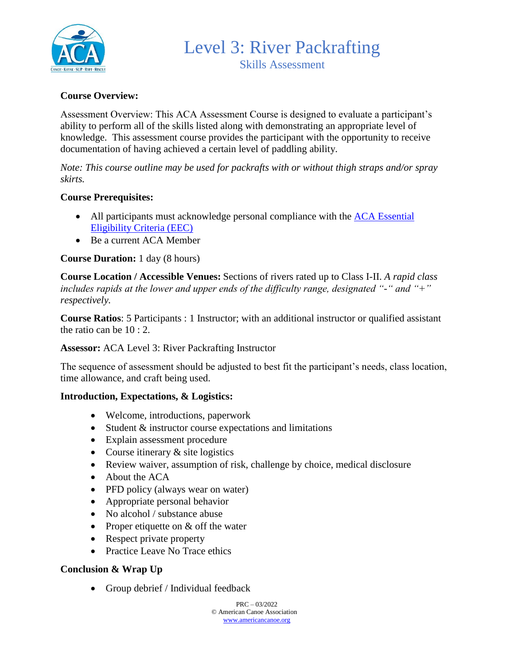

### **Course Overview:**

Assessment Overview: This ACA Assessment Course is designed to evaluate a participant's ability to perform all of the skills listed along with demonstrating an appropriate level of knowledge. This assessment course provides the participant with the opportunity to receive documentation of having achieved a certain level of paddling ability.

*Note: This course outline may be used for packrafts with or without thigh straps and/or spray skirts.*

#### **Course Prerequisites:**

- All participants must acknowledge personal compliance with the ACA Essential [Eligibility Criteria \(EEC\)](https://americancanoe.org/essential-eligibility-criteria/)
- Be a current ACA Member

#### **Course Duration:** 1 day (8 hours)

**Course Location / Accessible Venues:** Sections of rivers rated up to Class I-II. *A rapid class includes rapids at the lower and upper ends of the difficulty range, designated "-" and "+" respectively.*

**Course Ratios**: 5 Participants : 1 Instructor; with an additional instructor or qualified assistant the ratio can be 10 : 2.

#### **Assessor:** ACA Level 3: River Packrafting Instructor

The sequence of assessment should be adjusted to best fit the participant's needs, class location, time allowance, and craft being used.

#### **Introduction, Expectations, & Logistics:**

- Welcome, introductions, paperwork
- Student & instructor course expectations and limitations
- Explain assessment procedure
- Course itinerary  $&$  site logistics
- Review waiver, assumption of risk, challenge by choice, medical disclosure
- About the ACA
- PFD policy (always wear on water)
- Appropriate personal behavior
- No alcohol / substance abuse
- Proper etiquette on & off the water
- Respect private property
- Practice Leave No Trace ethics

### **Conclusion & Wrap Up**

• Group debrief / Individual feedback

 $PRC = 03/2022$ © American Canoe Association [www.americancanoe.org](http://www.americancanoe.org/)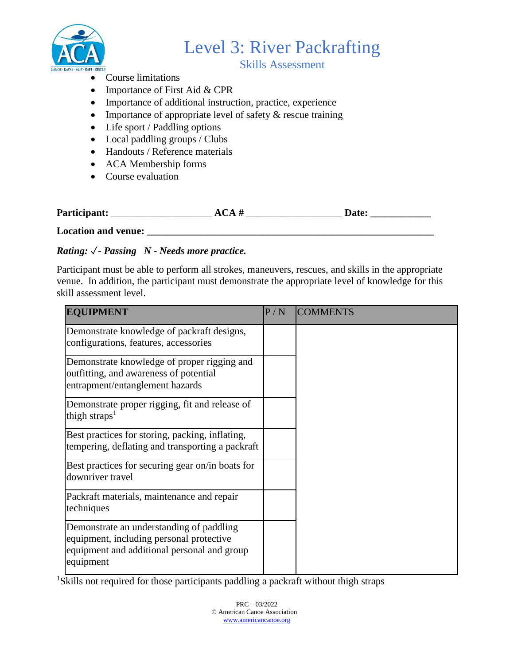

## Skills Assessment

- Course limitations
- Importance of First Aid & CPR
- Importance of additional instruction, practice, experience
- Importance of appropriate level of safety & rescue training
- Life sport / Paddling options
- Local paddling groups / Clubs
- Handouts / Reference materials
- ACA Membership forms
- Course evaluation

| Participant:<br>Jate:<br>л |
|----------------------------|
|----------------------------|

Location and venue:

## *Rating:* ✓*- Passing N - Needs more practice.*

Participant must be able to perform all strokes, maneuvers, rescues, and skills in the appropriate venue. In addition, the participant must demonstrate the appropriate level of knowledge for this skill assessment level.

| <b>EQUIPMENT</b>                                                                                                                                 | P/N | <b>COMMENTS</b> |
|--------------------------------------------------------------------------------------------------------------------------------------------------|-----|-----------------|
| Demonstrate knowledge of packraft designs,<br>configurations, features, accessories                                                              |     |                 |
| Demonstrate knowledge of proper rigging and<br>outfitting, and awareness of potential<br>entrapment/entanglement hazards                         |     |                 |
| Demonstrate proper rigging, fit and release of<br>thigh straps <sup>1</sup>                                                                      |     |                 |
| Best practices for storing, packing, inflating,<br>tempering, deflating and transporting a packraft                                              |     |                 |
| Best practices for securing gear on/in boats for<br>downriver travel                                                                             |     |                 |
| Packraft materials, maintenance and repair<br>techniques                                                                                         |     |                 |
| Demonstrate an understanding of paddling<br>equipment, including personal protective<br>equipment and additional personal and group<br>equipment |     |                 |

<sup>1</sup>Skills not required for those participants paddling a packraft without thigh straps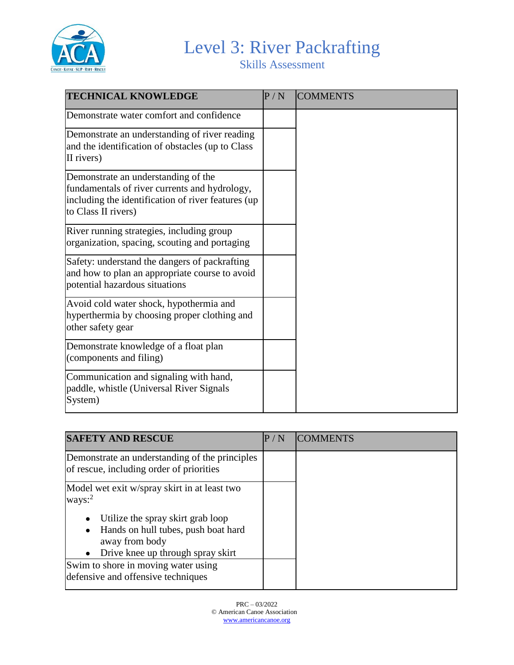

Skills Assessment

| <b>TECHNICAL KNOWLEDGE</b>                                                                                                                                        | P/N | <b>COMMENTS</b> |
|-------------------------------------------------------------------------------------------------------------------------------------------------------------------|-----|-----------------|
| Demonstrate water comfort and confidence                                                                                                                          |     |                 |
| Demonstrate an understanding of river reading<br>and the identification of obstacles (up to Class<br>II rivers)                                                   |     |                 |
| Demonstrate an understanding of the<br>fundamentals of river currents and hydrology,<br>including the identification of river features (up<br>to Class II rivers) |     |                 |
| River running strategies, including group<br>organization, spacing, scouting and portaging                                                                        |     |                 |
| Safety: understand the dangers of packrafting<br>and how to plan an appropriate course to avoid<br>potential hazardous situations                                 |     |                 |
| Avoid cold water shock, hypothermia and<br>hyperthermia by choosing proper clothing and<br>other safety gear                                                      |     |                 |
| Demonstrate knowledge of a float plan<br>(components and filing)                                                                                                  |     |                 |
| Communication and signaling with hand,<br>paddle, whistle (Universal River Signals<br>System)                                                                     |     |                 |

| <b>SAFETY AND RESCUE</b>                                                                                             | P/N | <b>ICOMMENTS</b> |
|----------------------------------------------------------------------------------------------------------------------|-----|------------------|
| Demonstrate an understanding of the principles<br>of rescue, including order of priorities                           |     |                  |
| Model wet exit w/spray skirt in at least two<br>ways: $2$<br>Utilize the spray skirt grab loop                       |     |                  |
| Hands on hull tubes, push boat hard<br>$\bullet$<br>away from body<br>Drive knee up through spray skirt<br>$\bullet$ |     |                  |
| Swim to shore in moving water using<br>defensive and offensive techniques                                            |     |                  |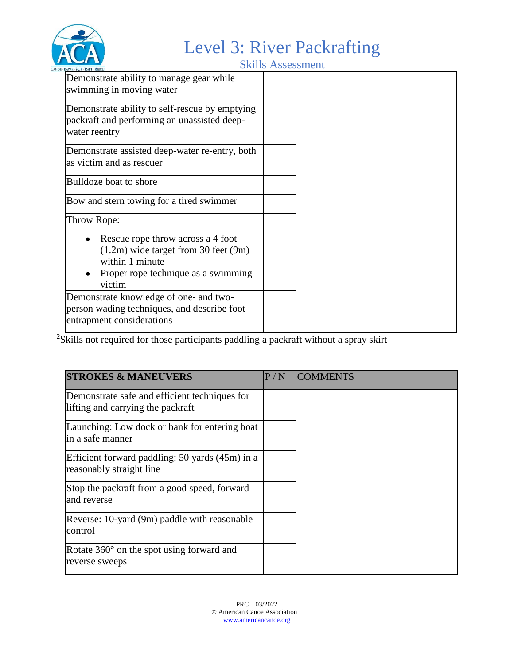

Skills Assessment

| NAYAK : SUP : KAFI : KESCUE .                                                                                                                     |  |
|---------------------------------------------------------------------------------------------------------------------------------------------------|--|
| Demonstrate ability to manage gear while<br>swimming in moving water                                                                              |  |
| Demonstrate ability to self-rescue by emptying<br>packraft and performing an unassisted deep-<br>water reentry                                    |  |
| Demonstrate assisted deep-water re-entry, both<br>as victim and as rescuer                                                                        |  |
| Bulldoze boat to shore                                                                                                                            |  |
| Bow and stern towing for a tired swimmer                                                                                                          |  |
| Throw Rope:                                                                                                                                       |  |
| Rescue rope throw across a 4 foot<br>$(1.2m)$ wide target from 30 feet $(9m)$<br>within 1 minute<br>Proper rope technique as a swimming<br>victim |  |
| Demonstrate knowledge of one- and two-<br>person wading techniques, and describe foot<br>entrapment considerations                                |  |

<sup>2</sup>Skills not required for those participants paddling a packraft without a spray skirt

| <b>STROKES &amp; MANEUVERS</b>                                                     | P/N | <b>ICOMMENTS</b> |
|------------------------------------------------------------------------------------|-----|------------------|
| Demonstrate safe and efficient techniques for<br>lifting and carrying the packraft |     |                  |
| Launching: Low dock or bank for entering boat<br>lin a safe manner                 |     |                  |
| Efficient forward paddling: 50 yards (45m) in a<br>reasonably straight line        |     |                  |
| Stop the packraft from a good speed, forward<br>and reverse                        |     |                  |
| Reverse: 10-yard (9m) paddle with reasonable<br>control                            |     |                  |
| Rotate $360^{\circ}$ on the spot using forward and<br>reverse sweeps               |     |                  |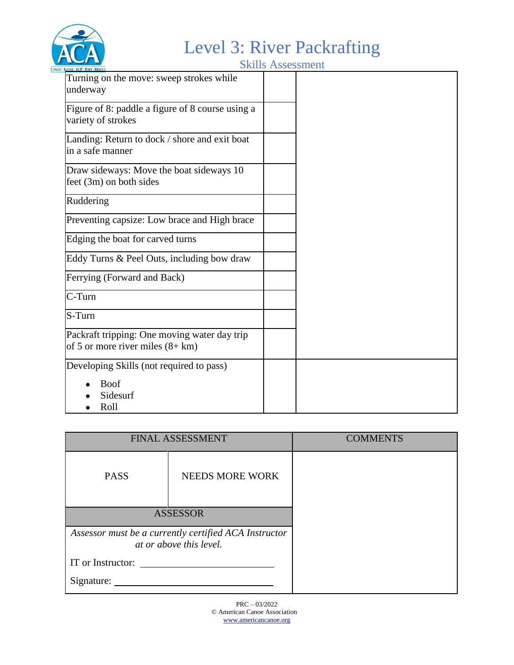

Skills Assessment

| KAYAK SUP RAFT RESCUE                                                               | <u>SIMIN'I ISSOCSINISIN</u> |
|-------------------------------------------------------------------------------------|-----------------------------|
| Turning on the move: sweep strokes while<br>underway                                |                             |
| Figure of 8: paddle a figure of 8 course using a<br>variety of strokes              |                             |
| Landing: Return to dock / shore and exit boat<br>in a safe manner                   |                             |
| Draw sideways: Move the boat sideways 10<br>feet (3m) on both sides                 |                             |
| Ruddering                                                                           |                             |
| Preventing capsize: Low brace and High brace                                        |                             |
| Edging the boat for carved turns                                                    |                             |
| Eddy Turns & Peel Outs, including bow draw                                          |                             |
| Ferrying (Forward and Back)                                                         |                             |
| C-Turn                                                                              |                             |
| S-Turn                                                                              |                             |
| Packraft tripping: One moving water day trip<br>of 5 or more river miles $(8 + km)$ |                             |
| Developing Skills (not required to pass)                                            |                             |
| <b>Boof</b><br>Sidesurf<br>Roll                                                     |                             |

| <b>FINAL ASSESSMENT</b>                               |                        | <b>COMMENTS</b> |
|-------------------------------------------------------|------------------------|-----------------|
| <b>PASS</b>                                           | <b>NEEDS MORE WORK</b> |                 |
| <b>ASSESSOR</b>                                       |                        |                 |
| Assessor must be a currently certified ACA Instructor |                        |                 |
| at or above this level.                               |                        |                 |
| IT or Instructor:                                     |                        |                 |
| Signature:                                            |                        |                 |